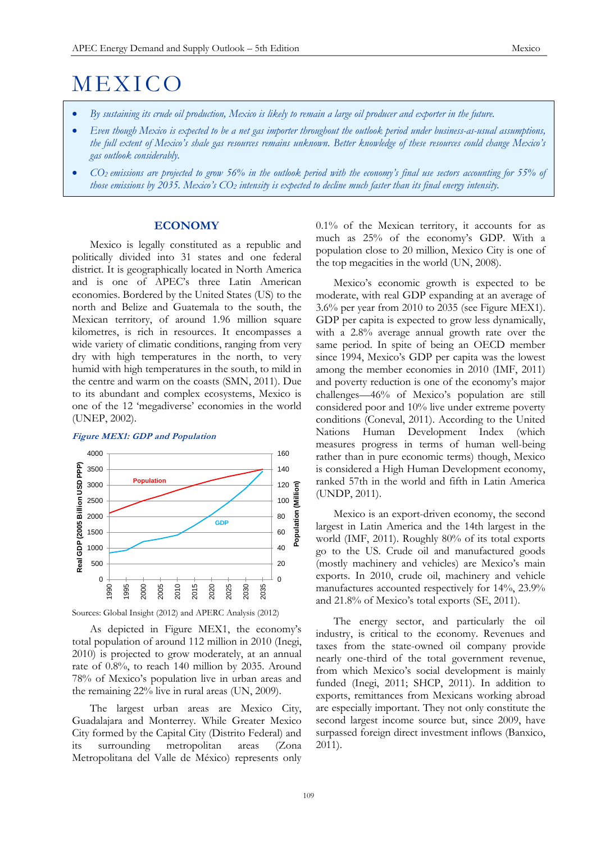# **MEXICO**

- *By sustaining its crude oil production, Mexico is likely to remain a large oil producer and exporter in the future.*
- *Even though Mexico is expected to be a net gas importer throughout the outlook period under business-as-usual assumptions, the full extent of Mexico's shale gas resources remains unknown. Better knowledge of these resources could change Mexico's gas outlook considerably.*
- *CO<sup>2</sup> emissions are projected to grow 56% in the outlook period with the economy's final use sectors accounting for 55% of those emissions by 2035. Mexico's CO<sup>2</sup> intensity is expected to decline much faster than its final energy intensity.*

## **ECONOMY**

Mexico is legally constituted as a republic and politically divided into 31 states and one federal district. It is geographically located in North America and is one of APEC's three Latin American economies. Bordered by the United States (US) to the north and Belize and Guatemala to the south, the Mexican territory, of around 1.96 million square kilometres, is rich in resources. It encompasses a wide variety of climatic conditions, ranging from very dry with high temperatures in the north, to very humid with high temperatures in the south, to mild in the centre and warm on the coasts (SMN, 2011). Due to its abundant and complex ecosystems, Mexico is one of the 12 'megadiverse' economies in the world (UNEP, 2002).

## **Figure MEX1: GDP and Population**



Sources: Global Insight (2012) and APERC Analysis (2012)

As depicted in Figure MEX1, the economy's total population of around 112 million in 2010 (Inegi, 2010) is projected to grow moderately, at an annual rate of 0.8%, to reach 140 million by 2035. Around 78% of Mexico's population live in urban areas and the remaining 22% live in rural areas (UN, 2009).

The largest urban areas are Mexico City, Guadalajara and Monterrey. While Greater Mexico City formed by the Capital City (Distrito Federal) and its surrounding metropolitan areas (Zona Metropolitana del Valle de México) represents only

0.1% of the Mexican territory, it accounts for as much as 25% of the economy's GDP. With a population close to 20 million, Mexico City is one of the top megacities in the world (UN, 2008).

Mexico's economic growth is expected to be moderate, with real GDP expanding at an average of 3.6% per year from 2010 to 2035 (see Figure MEX1). GDP per capita is expected to grow less dynamically, with a 2.8% average annual growth rate over the same period. In spite of being an OECD member since 1994, Mexico's GDP per capita was the lowest among the member economies in 2010 (IMF, 2011) and poverty reduction is one of the economy's major challenges—46% of Mexico's population are still considered poor and 10% live under extreme poverty conditions (Coneval, 2011). According to the United Nations Human Development Index (which measures progress in terms of human well-being rather than in pure economic terms) though, Mexico is considered a High Human Development economy, ranked 57th in the world and fifth in Latin America (UNDP, 2011).

Mexico is an export-driven economy, the second largest in Latin America and the 14th largest in the world (IMF, 2011). Roughly 80% of its total exports go to the US. Crude oil and manufactured goods (mostly machinery and vehicles) are Mexico's main exports. In 2010, crude oil, machinery and vehicle manufactures accounted respectively for 14%, 23.9% and 21.8% of Mexico's total exports (SE, 2011).

The energy sector, and particularly the oil industry, is critical to the economy. Revenues and taxes from the state-owned oil company provide nearly one-third of the total government revenue, from which Mexico's social development is mainly funded (Inegi, 2011; SHCP, 2011). In addition to exports, remittances from Mexicans working abroad are especially important. They not only constitute the second largest income source but, since 2009, have surpassed foreign direct investment inflows (Banxico, 2011).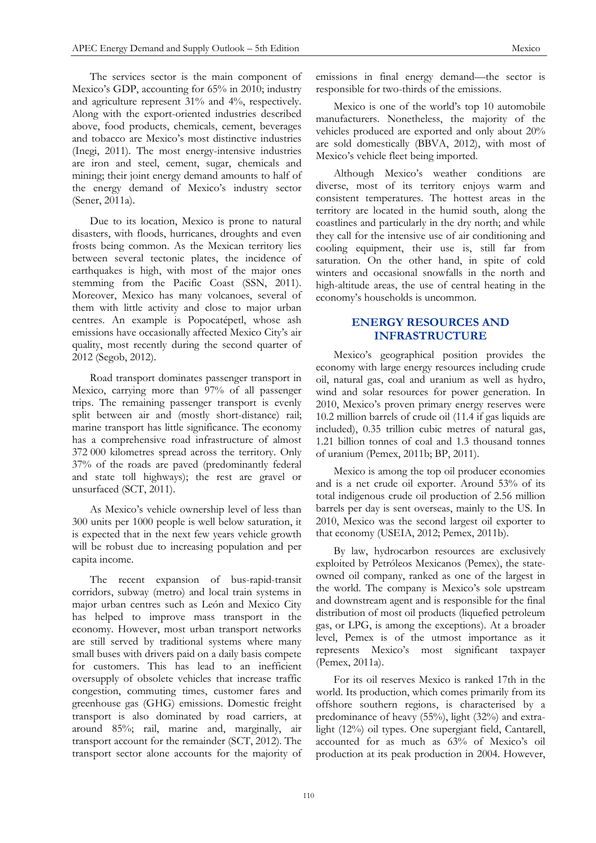The services sector is the main component of Mexico's GDP, accounting for 65% in 2010; industry and agriculture represent 31% and 4%, respectively. Along with the export-oriented industries described above, food products, chemicals, cement, beverages and tobacco are Mexico's most distinctive industries (Inegi, 2011). The most energy-intensive industries are iron and steel, cement, sugar, chemicals and mining; their joint energy demand amounts to half of the energy demand of Mexico's industry sector (Sener, 2011a).

Due to its location, Mexico is prone to natural disasters, with floods, hurricanes, droughts and even frosts being common. As the Mexican territory lies between several tectonic plates, the incidence of earthquakes is high, with most of the major ones stemming from the Pacific Coast (SSN, 2011). Moreover, Mexico has many volcanoes, several of them with little activity and close to major urban centres. An example is Popocatépetl, whose ash emissions have occasionally affected Mexico City's air quality, most recently during the second quarter of 2012 (Segob, 2012).

Road transport dominates passenger transport in Mexico, carrying more than 97% of all passenger trips. The remaining passenger transport is evenly split between air and (mostly short-distance) rail; marine transport has little significance. The economy has a comprehensive road infrastructure of almost 372 000 kilometres spread across the territory. Only 37% of the roads are paved (predominantly federal and state toll highways); the rest are gravel or unsurfaced (SCT, 2011).

As Mexico's vehicle ownership level of less than 300 units per 1000 people is well below saturation, it is expected that in the next few years vehicle growth will be robust due to increasing population and per capita income.

The recent expansion of bus-rapid-transit corridors, subway (metro) and local train systems in major urban centres such as León and Mexico City has helped to improve mass transport in the economy. However, most urban transport networks are still served by traditional systems where many small buses with drivers paid on a daily basis compete for customers. This has lead to an inefficient oversupply of obsolete vehicles that increase traffic congestion, commuting times, customer fares and greenhouse gas (GHG) emissions. Domestic freight transport is also dominated by road carriers, at around 85%; rail, marine and, marginally, air transport account for the remainder (SCT, 2012). The transport sector alone accounts for the majority of emissions in final energy demand—the sector is responsible for two-thirds of the emissions.

Mexico is one of the world's top 10 automobile manufacturers. Nonetheless, the majority of the vehicles produced are exported and only about 20% are sold domestically (BBVA, 2012), with most of Mexico's vehicle fleet being imported.

Although Mexico's weather conditions are diverse, most of its territory enjoys warm and consistent temperatures. The hottest areas in the territory are located in the humid south, along the coastlines and particularly in the dry north; and while they call for the intensive use of air conditioning and cooling equipment, their use is, still far from saturation. On the other hand, in spite of cold winters and occasional snowfalls in the north and high-altitude areas, the use of central heating in the economy's households is uncommon.

# **ENERGY RESOURCES AND INFRASTRUCTURE**

Mexico's geographical position provides the economy with large energy resources including crude oil, natural gas, coal and uranium as well as hydro, wind and solar resources for power generation. In 2010, Mexico's proven primary energy reserves were 10.2 million barrels of crude oil (11.4 if gas liquids are included), 0.35 trillion cubic metres of natural gas, 1.21 billion tonnes of coal and 1.3 thousand tonnes of uranium (Pemex, 2011b; BP, 2011).

Mexico is among the top oil producer economies and is a net crude oil exporter. Around 53% of its total indigenous crude oil production of 2.56 million barrels per day is sent overseas, mainly to the US. In 2010, Mexico was the second largest oil exporter to that economy (USEIA, 2012; Pemex, 2011b).

By law, hydrocarbon resources are exclusively exploited by Petróleos Mexicanos (Pemex), the stateowned oil company, ranked as one of the largest in the world. The company is Mexico's sole upstream and downstream agent and is responsible for the final distribution of most oil products (liquefied petroleum gas, or LPG, is among the exceptions). At a broader level, Pemex is of the utmost importance as it represents Mexico's most significant taxpayer (Pemex, 2011a).

For its oil reserves Mexico is ranked 17th in the world. Its production, which comes primarily from its offshore southern regions, is characterised by a predominance of heavy (55%), light (32%) and extralight (12%) oil types. One supergiant field, Cantarell, accounted for as much as 63% of Mexico's oil production at its peak production in 2004. However,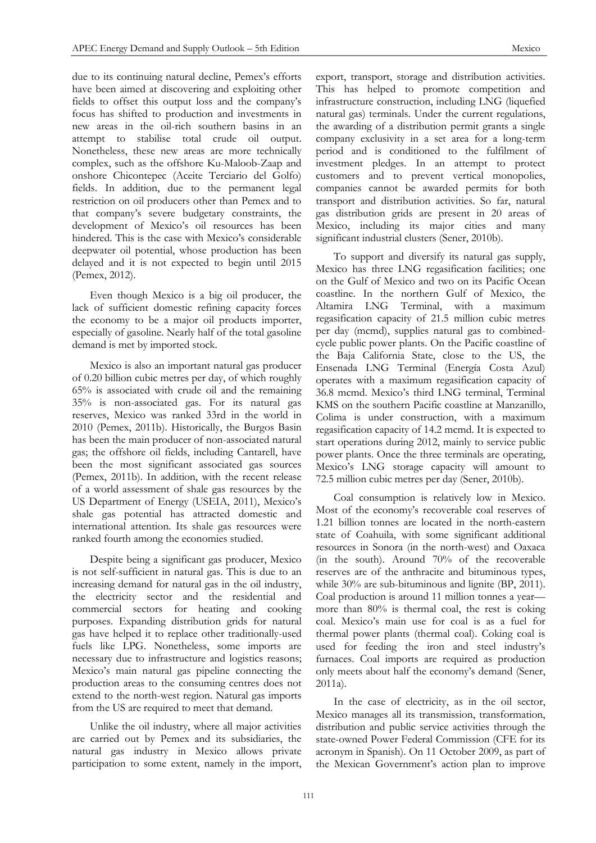due to its continuing natural decline, Pemex's efforts have been aimed at discovering and exploiting other fields to offset this output loss and the company's focus has shifted to production and investments in new areas in the oil-rich southern basins in an attempt to stabilise total crude oil output. Nonetheless, these new areas are more technically complex, such as the offshore Ku-Maloob-Zaap and onshore Chicontepec (Aceite Terciario del Golfo) fields. In addition, due to the permanent legal restriction on oil producers other than Pemex and to that company's severe budgetary constraints, the development of Mexico's oil resources has been hindered. This is the case with Mexico's considerable deepwater oil potential, whose production has been delayed and it is not expected to begin until 2015 (Pemex, 2012).

Even though Mexico is a big oil producer, the lack of sufficient domestic refining capacity forces the economy to be a major oil products importer, especially of gasoline. Nearly half of the total gasoline demand is met by imported stock.

Mexico is also an important natural gas producer of 0.20 billion cubic metres per day, of which roughly 65% is associated with crude oil and the remaining 35% is non-associated gas. For its natural gas reserves, Mexico was ranked 33rd in the world in 2010 (Pemex, 2011b). Historically, the Burgos Basin has been the main producer of non-associated natural gas; the offshore oil fields, including Cantarell, have been the most significant associated gas sources (Pemex, 2011b). In addition, with the recent release of a world assessment of shale gas resources by the US Department of Energy (USEIA, 2011), Mexico's shale gas potential has attracted domestic and international attention. Its shale gas resources were ranked fourth among the economies studied.

Despite being a significant gas producer, Mexico is not self-sufficient in natural gas. This is due to an increasing demand for natural gas in the oil industry, the electricity sector and the residential and commercial sectors for heating and cooking purposes. Expanding distribution grids for natural gas have helped it to replace other traditionally-used fuels like LPG. Nonetheless, some imports are necessary due to infrastructure and logistics reasons; Mexico's main natural gas pipeline connecting the production areas to the consuming centres does not extend to the north-west region. Natural gas imports from the US are required to meet that demand.

Unlike the oil industry, where all major activities are carried out by Pemex and its subsidiaries, the natural gas industry in Mexico allows private participation to some extent, namely in the import,

export, transport, storage and distribution activities. This has helped to promote competition and infrastructure construction, including LNG (liquefied natural gas) terminals. Under the current regulations, the awarding of a distribution permit grants a single company exclusivity in a set area for a long-term period and is conditioned to the fulfilment of investment pledges. In an attempt to protect customers and to prevent vertical monopolies, companies cannot be awarded permits for both transport and distribution activities. So far, natural gas distribution grids are present in 20 areas of Mexico, including its major cities and many significant industrial clusters (Sener, 2010b).

To support and diversify its natural gas supply, Mexico has three LNG regasification facilities; one on the Gulf of Mexico and two on its Pacific Ocean coastline. In the northern Gulf of Mexico, the Altamira LNG Terminal, with a maximum regasification capacity of 21.5 million cubic metres per day (mcmd), supplies natural gas to combinedcycle public power plants. On the Pacific coastline of the Baja California State, close to the US, the Ensenada LNG Terminal (Energía Costa Azul) operates with a maximum regasification capacity of 36.8 mcmd. Mexico's third LNG terminal, Terminal KMS on the southern Pacific coastline at Manzanillo, Colima is under construction, with a maximum regasification capacity of 14.2 mcmd. It is expected to start operations during 2012, mainly to service public power plants. Once the three terminals are operating, Mexico's LNG storage capacity will amount to 72.5 million cubic metres per day (Sener, 2010b).

Coal consumption is relatively low in Mexico. Most of the economy's recoverable coal reserves of 1.21 billion tonnes are located in the north-eastern state of Coahuila, with some significant additional resources in Sonora (in the north-west) and Oaxaca (in the south). Around 70% of the recoverable reserves are of the anthracite and bituminous types, while 30% are sub-bituminous and lignite (BP, 2011). Coal production is around 11 million tonnes a year more than 80% is thermal coal, the rest is coking coal. Mexico's main use for coal is as a fuel for thermal power plants (thermal coal). Coking coal is used for feeding the iron and steel industry's furnaces. Coal imports are required as production only meets about half the economy's demand (Sener, 2011a).

In the case of electricity, as in the oil sector, Mexico manages all its transmission, transformation, distribution and public service activities through the state-owned Power Federal Commission (CFE for its acronym in Spanish). On 11 October 2009, as part of the Mexican Government's action plan to improve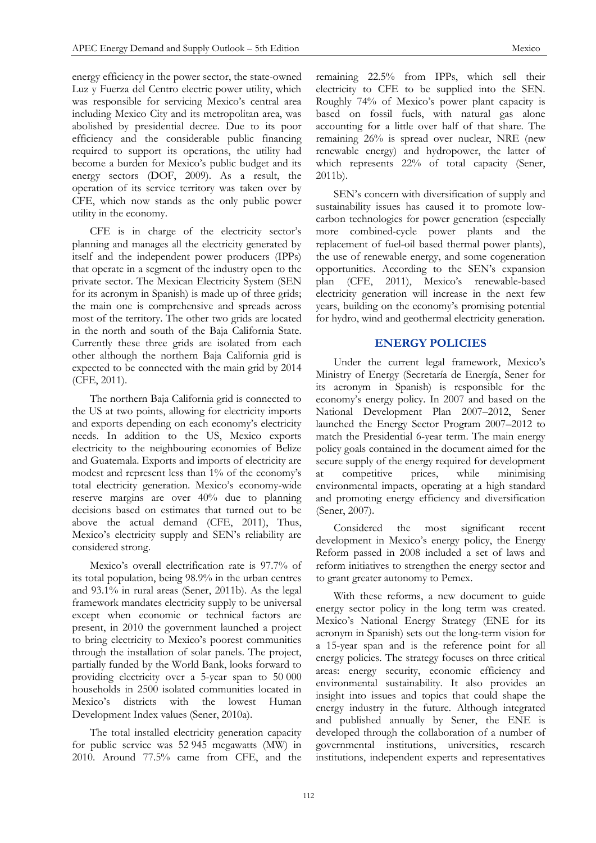energy efficiency in the power sector, the state-owned Luz y Fuerza del Centro electric power utility, which was responsible for servicing Mexico's central area including Mexico City and its metropolitan area, was abolished by presidential decree. Due to its poor efficiency and the considerable public financing required to support its operations, the utility had become a burden for Mexico's public budget and its energy sectors (DOF, 2009). As a result, the operation of its service territory was taken over by CFE, which now stands as the only public power utility in the economy.

CFE is in charge of the electricity sector's planning and manages all the electricity generated by itself and the independent power producers (IPPs) that operate in a segment of the industry open to the private sector. The Mexican Electricity System (SEN for its acronym in Spanish) is made up of three grids; the main one is comprehensive and spreads across most of the territory. The other two grids are located in the north and south of the Baja California State. Currently these three grids are isolated from each other although the northern Baja California grid is expected to be connected with the main grid by 2014 (CFE, 2011).

The northern Baja California grid is connected to the US at two points, allowing for electricity imports and exports depending on each economy's electricity needs. In addition to the US, Mexico exports electricity to the neighbouring economies of Belize and Guatemala. Exports and imports of electricity are modest and represent less than 1% of the economy's total electricity generation. Mexico's economy-wide reserve margins are over 40% due to planning decisions based on estimates that turned out to be above the actual demand (CFE, 2011), Thus, Mexico's electricity supply and SEN's reliability are considered strong.

Mexico's overall electrification rate is 97.7% of its total population, being 98.9% in the urban centres and 93.1% in rural areas (Sener, 2011b). As the legal framework mandates electricity supply to be universal except when economic or technical factors are present, in 2010 the government launched a project to bring electricity to Mexico's poorest communities through the installation of solar panels. The project, partially funded by the World Bank, looks forward to providing electricity over a 5-year span to 50 000 households in 2500 isolated communities located in Mexico's districts with the lowest Human Development Index values (Sener, 2010a).

The total installed electricity generation capacity for public service was 52 945 megawatts (MW) in 2010. Around 77.5% came from CFE, and the

remaining 22.5% from IPPs, which sell their electricity to CFE to be supplied into the SEN. Roughly 74% of Mexico's power plant capacity is based on fossil fuels, with natural gas alone accounting for a little over half of that share. The remaining 26% is spread over nuclear, NRE (new renewable energy) and hydropower, the latter of which represents 22% of total capacity (Sener, 2011b).

SEN's concern with diversification of supply and sustainability issues has caused it to promote lowcarbon technologies for power generation (especially more combined-cycle power plants and the replacement of fuel-oil based thermal power plants), the use of renewable energy, and some cogeneration opportunities. According to the SEN's expansion plan (CFE, 2011), Mexico's renewable-based electricity generation will increase in the next few years, building on the economy's promising potential for hydro, wind and geothermal electricity generation.

## **ENERGY POLICIES**

Under the current legal framework, Mexico's Ministry of Energy (Secretaría de Energía, Sener for its acronym in Spanish) is responsible for the economy's energy policy. In 2007 and based on the National Development Plan 2007–2012, Sener launched the Energy Sector Program 2007–2012 to match the Presidential 6-year term. The main energy policy goals contained in the document aimed for the secure supply of the energy required for development at competitive prices, while minimising environmental impacts, operating at a high standard and promoting energy efficiency and diversification (Sener, 2007).

Considered the most significant recent development in Mexico's energy policy, the Energy Reform passed in 2008 included a set of laws and reform initiatives to strengthen the energy sector and to grant greater autonomy to Pemex.

With these reforms, a new document to guide energy sector policy in the long term was created. Mexico's National Energy Strategy (ENE for its acronym in Spanish) sets out the long-term vision for a 15-year span and is the reference point for all energy policies. The strategy focuses on three critical areas: energy security, economic efficiency and environmental sustainability. It also provides an insight into issues and topics that could shape the energy industry in the future. Although integrated and published annually by Sener, the ENE is developed through the collaboration of a number of governmental institutions, universities, research institutions, independent experts and representatives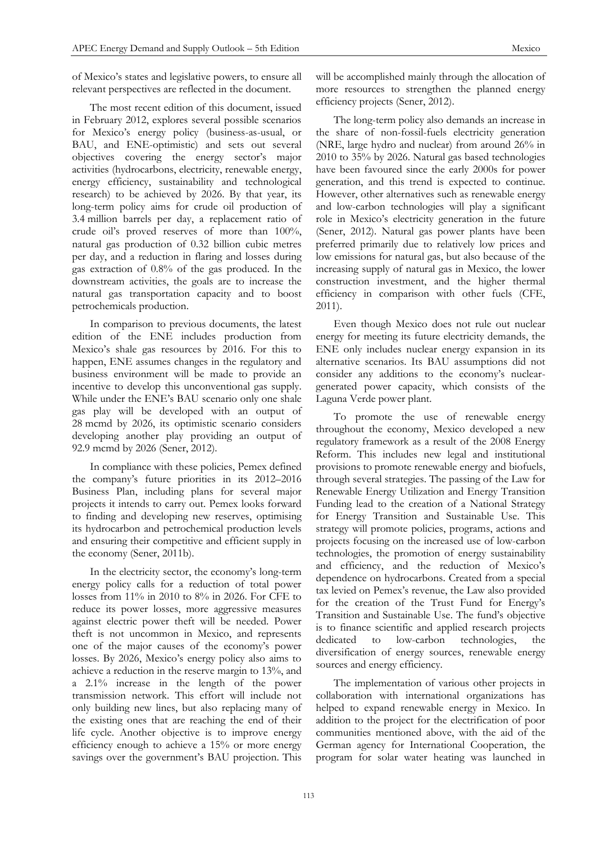of Mexico's states and legislative powers, to ensure all relevant perspectives are reflected in the document.

The most recent edition of this document, issued in February 2012, explores several possible scenarios for Mexico's energy policy (business-as-usual, or BAU, and ENE-optimistic) and sets out several objectives covering the energy sector's major activities (hydrocarbons, electricity, renewable energy, energy efficiency, sustainability and technological research) to be achieved by 2026. By that year, its long-term policy aims for crude oil production of 3.4 million barrels per day, a replacement ratio of crude oil's proved reserves of more than 100%, natural gas production of 0.32 billion cubic metres per day, and a reduction in flaring and losses during gas extraction of 0.8% of the gas produced. In the downstream activities, the goals are to increase the natural gas transportation capacity and to boost petrochemicals production.

In comparison to previous documents, the latest edition of the ENE includes production from Mexico's shale gas resources by 2016. For this to happen, ENE assumes changes in the regulatory and business environment will be made to provide an incentive to develop this unconventional gas supply. While under the ENE's BAU scenario only one shale gas play will be developed with an output of 28 mcmd by 2026, its optimistic scenario considers developing another play providing an output of 92.9 mcmd by 2026 (Sener, 2012).

In compliance with these policies, Pemex defined the company's future priorities in its 2012–2016 Business Plan, including plans for several major projects it intends to carry out. Pemex looks forward to finding and developing new reserves, optimising its hydrocarbon and petrochemical production levels and ensuring their competitive and efficient supply in the economy (Sener, 2011b).

In the electricity sector, the economy's long-term energy policy calls for a reduction of total power losses from 11% in 2010 to 8% in 2026. For CFE to reduce its power losses, more aggressive measures against electric power theft will be needed. Power theft is not uncommon in Mexico, and represents one of the major causes of the economy's power losses. By 2026, Mexico's energy policy also aims to achieve a reduction in the reserve margin to 13%, and a 2.1% increase in the length of the power transmission network. This effort will include not only building new lines, but also replacing many of the existing ones that are reaching the end of their life cycle. Another objective is to improve energy efficiency enough to achieve a 15% or more energy savings over the government's BAU projection. This

will be accomplished mainly through the allocation of more resources to strengthen the planned energy efficiency projects (Sener, 2012).

The long-term policy also demands an increase in the share of non-fossil-fuels electricity generation (NRE, large hydro and nuclear) from around 26% in 2010 to 35% by 2026. Natural gas based technologies have been favoured since the early 2000s for power generation, and this trend is expected to continue. However, other alternatives such as renewable energy and low-carbon technologies will play a significant role in Mexico's electricity generation in the future (Sener, 2012). Natural gas power plants have been preferred primarily due to relatively low prices and low emissions for natural gas, but also because of the increasing supply of natural gas in Mexico, the lower construction investment, and the higher thermal efficiency in comparison with other fuels (CFE, 2011).

Even though Mexico does not rule out nuclear energy for meeting its future electricity demands, the ENE only includes nuclear energy expansion in its alternative scenarios. Its BAU assumptions did not consider any additions to the economy's nucleargenerated power capacity, which consists of the Laguna Verde power plant.

To promote the use of renewable energy throughout the economy, Mexico developed a new regulatory framework as a result of the 2008 Energy Reform. This includes new legal and institutional provisions to promote renewable energy and biofuels, through several strategies. The passing of the Law for Renewable Energy Utilization and Energy Transition Funding lead to the creation of a National Strategy for Energy Transition and Sustainable Use. This strategy will promote policies, programs, actions and projects focusing on the increased use of low-carbon technologies, the promotion of energy sustainability and efficiency, and the reduction of Mexico's dependence on hydrocarbons. Created from a special tax levied on Pemex's revenue, the Law also provided for the creation of the Trust Fund for Energy's Transition and Sustainable Use. The fund's objective is to finance scientific and applied research projects dedicated to low-carbon technologies, the diversification of energy sources, renewable energy sources and energy efficiency.

The implementation of various other projects in collaboration with international organizations has helped to expand renewable energy in Mexico. In addition to the project for the electrification of poor communities mentioned above, with the aid of the German agency for International Cooperation, the program for solar water heating was launched in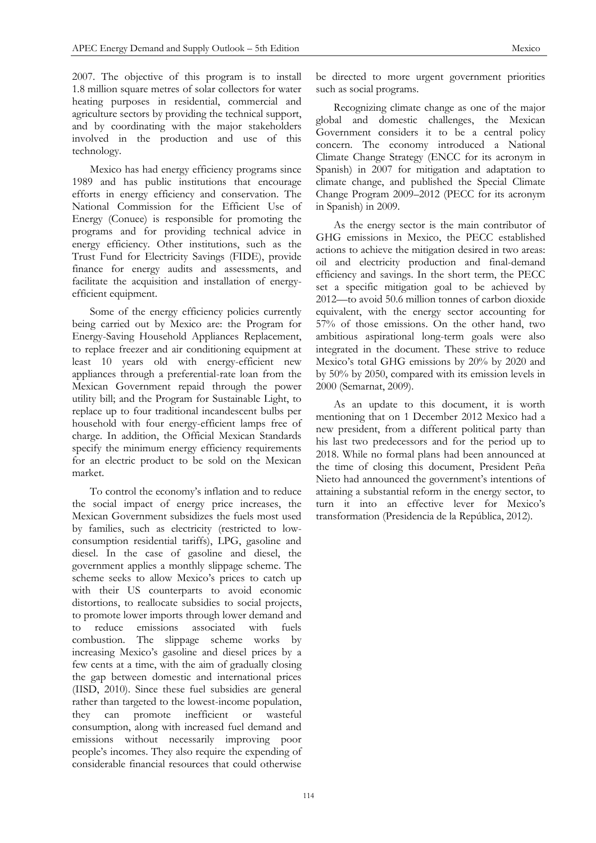2007. The objective of this program is to install 1.8 million square metres of solar collectors for water heating purposes in residential, commercial and agriculture sectors by providing the technical support, and by coordinating with the major stakeholders involved in the production and use of this technology.

Mexico has had energy efficiency programs since 1989 and has public institutions that encourage efforts in energy efficiency and conservation. The National Commission for the Efficient Use of Energy (Conuee) is responsible for promoting the programs and for providing technical advice in energy efficiency. Other institutions, such as the Trust Fund for Electricity Savings (FIDE), provide finance for energy audits and assessments, and facilitate the acquisition and installation of energyefficient equipment.

Some of the energy efficiency policies currently being carried out by Mexico are: the Program for Energy-Saving Household Appliances Replacement, to replace freezer and air conditioning equipment at least 10 years old with energy-efficient new appliances through a preferential-rate loan from the Mexican Government repaid through the power utility bill; and the Program for Sustainable Light, to replace up to four traditional incandescent bulbs per household with four energy-efficient lamps free of charge. In addition, the Official Mexican Standards specify the minimum energy efficiency requirements for an electric product to be sold on the Mexican market.

To control the economy's inflation and to reduce the social impact of energy price increases, the Mexican Government subsidizes the fuels most used by families, such as electricity (restricted to lowconsumption residential tariffs), LPG, gasoline and diesel. In the case of gasoline and diesel, the government applies a monthly slippage scheme. The scheme seeks to allow Mexico's prices to catch up with their US counterparts to avoid economic distortions, to reallocate subsidies to social projects, to promote lower imports through lower demand and to reduce emissions associated with fuels combustion. The slippage scheme works by increasing Mexico's gasoline and diesel prices by a few cents at a time, with the aim of gradually closing the gap between domestic and international prices (IISD, 2010). Since these fuel subsidies are general rather than targeted to the lowest-income population, they can promote inefficient or wasteful consumption, along with increased fuel demand and emissions without necessarily improving poor people's incomes. They also require the expending of considerable financial resources that could otherwise

be directed to more urgent government priorities such as social programs.

Recognizing climate change as one of the major global and domestic challenges, the Mexican Government considers it to be a central policy concern. The economy introduced a National Climate Change Strategy (ENCC for its acronym in Spanish) in 2007 for mitigation and adaptation to climate change, and published the Special Climate Change Program 2009–2012 (PECC for its acronym in Spanish) in 2009.

As the energy sector is the main contributor of GHG emissions in Mexico, the PECC established actions to achieve the mitigation desired in two areas: oil and electricity production and final-demand efficiency and savings. In the short term, the PECC set a specific mitigation goal to be achieved by 2012—to avoid 50.6 million tonnes of carbon dioxide equivalent, with the energy sector accounting for 57% of those emissions. On the other hand, two ambitious aspirational long-term goals were also integrated in the document. These strive to reduce Mexico's total GHG emissions by 20% by 2020 and by 50% by 2050, compared with its emission levels in 2000 (Semarnat, 2009).

As an update to this document, it is worth mentioning that on 1 December 2012 Mexico had a new president, from a different political party than his last two predecessors and for the period up to 2018. While no formal plans had been announced at the time of closing this document, President Peña Nieto had announced the government's intentions of attaining a substantial reform in the energy sector, to turn it into an effective lever for Mexico's transformation (Presidencia de la República, 2012).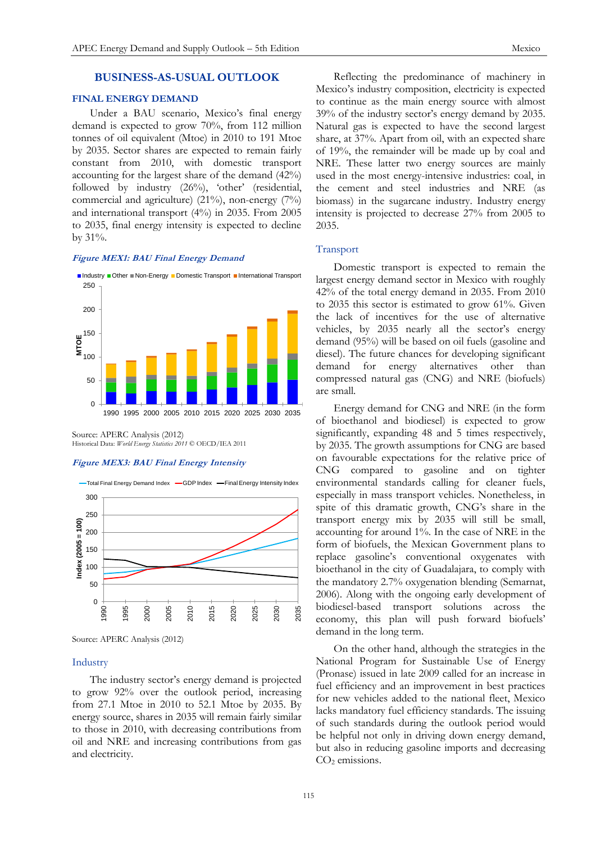## **BUSINESS-AS-USUAL OUTLOOK**

## **FINAL ENERGY DEMAND**

Under a BAU scenario, Mexico's final energy demand is expected to grow 70%, from 112 million tonnes of oil equivalent (Mtoe) in 2010 to 191 Mtoe by 2035. Sector shares are expected to remain fairly constant from 2010, with domestic transport accounting for the largest share of the demand (42%) followed by industry (26%), 'other' (residential, commercial and agriculture) (21%), non-energy (7%) and international transport (4%) in 2035. From 2005 to 2035, final energy intensity is expected to decline by  $31\%$ .

## **Figure MEX1: BAU Final Energy Demand**



Source: APERC Analysis (2012) Historical Data: *World Energy Statistics 2011* © OECD/IEA 2011

#### **Figure MEX3: BAU Final Energy Intensity**



Source: APERC Analysis (2012)

## Industry

The industry sector's energy demand is projected to grow 92% over the outlook period, increasing from 27.1 Mtoe in 2010 to 52.1 Mtoe by 2035. By energy source, shares in 2035 will remain fairly similar to those in 2010, with decreasing contributions from oil and NRE and increasing contributions from gas and electricity.

Reflecting the predominance of machinery in Mexico's industry composition, electricity is expected to continue as the main energy source with almost 39% of the industry sector's energy demand by 2035. Natural gas is expected to have the second largest share, at 37%. Apart from oil, with an expected share of 19%, the remainder will be made up by coal and NRE. These latter two energy sources are mainly used in the most energy-intensive industries: coal, in the cement and steel industries and NRE (as biomass) in the sugarcane industry. Industry energy intensity is projected to decrease 27% from 2005 to 2035.

## Transport

Domestic transport is expected to remain the largest energy demand sector in Mexico with roughly 42% of the total energy demand in 2035. From 2010 to 2035 this sector is estimated to grow 61%. Given the lack of incentives for the use of alternative vehicles, by 2035 nearly all the sector's energy demand (95%) will be based on oil fuels (gasoline and diesel). The future chances for developing significant demand for energy alternatives other than compressed natural gas (CNG) and NRE (biofuels) are small.

Energy demand for CNG and NRE (in the form of bioethanol and biodiesel) is expected to grow significantly, expanding 48 and 5 times respectively, by 2035. The growth assumptions for CNG are based on favourable expectations for the relative price of CNG compared to gasoline and on tighter environmental standards calling for cleaner fuels, especially in mass transport vehicles. Nonetheless, in spite of this dramatic growth, CNG's share in the transport energy mix by 2035 will still be small, accounting for around 1%. In the case of NRE in the form of biofuels, the Mexican Government plans to replace gasoline's conventional oxygenates with bioethanol in the city of Guadalajara, to comply with the mandatory 2.7% oxygenation blending (Semarnat, 2006). Along with the ongoing early development of biodiesel-based transport solutions across the economy, this plan will push forward biofuels' demand in the long term.

On the other hand, although the strategies in the National Program for Sustainable Use of Energy (Pronase) issued in late 2009 called for an increase in fuel efficiency and an improvement in best practices for new vehicles added to the national fleet, Mexico lacks mandatory fuel efficiency standards. The issuing of such standards during the outlook period would be helpful not only in driving down energy demand, but also in reducing gasoline imports and decreasing CO<sub>2</sub> emissions.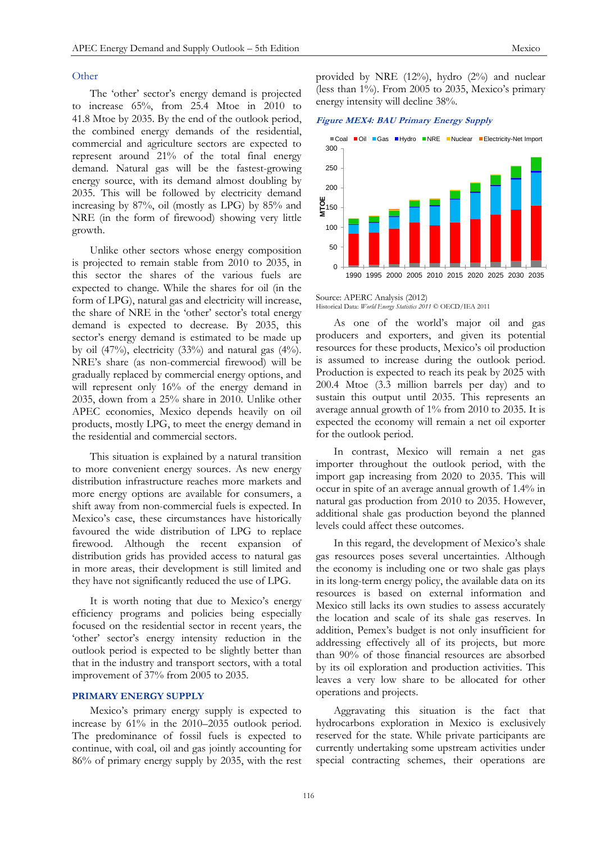## **Other**

The 'other' sector's energy demand is projected to increase 65%, from 25.4 Mtoe in 2010 to 41.8 Mtoe by 2035. By the end of the outlook period, the combined energy demands of the residential, commercial and agriculture sectors are expected to represent around 21% of the total final energy demand. Natural gas will be the fastest-growing energy source, with its demand almost doubling by 2035. This will be followed by electricity demand increasing by 87%, oil (mostly as LPG) by 85% and NRE (in the form of firewood) showing very little growth.

Unlike other sectors whose energy composition is projected to remain stable from 2010 to 2035, in this sector the shares of the various fuels are expected to change. While the shares for oil (in the form of LPG), natural gas and electricity will increase, the share of NRE in the 'other' sector's total energy demand is expected to decrease. By 2035, this sector's energy demand is estimated to be made up by oil  $(47%)$ , electricity  $(33%)$  and natural gas  $(4%)$ . NRE's share (as non-commercial firewood) will be gradually replaced by commercial energy options, and will represent only 16% of the energy demand in 2035, down from a 25% share in 2010. Unlike other APEC economies, Mexico depends heavily on oil products, mostly LPG, to meet the energy demand in the residential and commercial sectors.

This situation is explained by a natural transition to more convenient energy sources. As new energy distribution infrastructure reaches more markets and more energy options are available for consumers, a shift away from non-commercial fuels is expected. In Mexico's case, these circumstances have historically favoured the wide distribution of LPG to replace firewood. Although the recent expansion of distribution grids has provided access to natural gas in more areas, their development is still limited and they have not significantly reduced the use of LPG.

It is worth noting that due to Mexico's energy efficiency programs and policies being especially focused on the residential sector in recent years, the 'other' sector's energy intensity reduction in the outlook period is expected to be slightly better than that in the industry and transport sectors, with a total improvement of 37% from 2005 to 2035.

## **PRIMARY ENERGY SUPPLY**

Mexico's primary energy supply is expected to increase by 61% in the 2010–2035 outlook period. The predominance of fossil fuels is expected to continue, with coal, oil and gas jointly accounting for 86% of primary energy supply by 2035, with the rest provided by NRE (12%), hydro (2%) and nuclear (less than 1%). From 2005 to 2035, Mexico's primary energy intensity will decline 38%.

**Figure MEX4: BAU Primary Energy Supply**



Source: APERC Analysis (2012) Historical Data: *World Energy Statistics 2011* © OECD/IEA 2011

As one of the world's major oil and gas producers and exporters, and given its potential resources for these products, Mexico's oil production is assumed to increase during the outlook period. Production is expected to reach its peak by 2025 with 200.4 Mtoe (3.3 million barrels per day) and to sustain this output until 2035. This represents an average annual growth of 1% from 2010 to 2035. It is expected the economy will remain a net oil exporter for the outlook period.

In contrast, Mexico will remain a net gas importer throughout the outlook period, with the import gap increasing from 2020 to 2035. This will occur in spite of an average annual growth of 1.4% in natural gas production from 2010 to 2035. However, additional shale gas production beyond the planned levels could affect these outcomes.

In this regard, the development of Mexico's shale gas resources poses several uncertainties. Although the economy is including one or two shale gas plays in its long-term energy policy, the available data on its resources is based on external information and Mexico still lacks its own studies to assess accurately the location and scale of its shale gas reserves. In addition, Pemex's budget is not only insufficient for addressing effectively all of its projects, but more than 90% of those financial resources are absorbed by its oil exploration and production activities. This leaves a very low share to be allocated for other operations and projects.

Aggravating this situation is the fact that hydrocarbons exploration in Mexico is exclusively reserved for the state. While private participants are currently undertaking some upstream activities under special contracting schemes, their operations are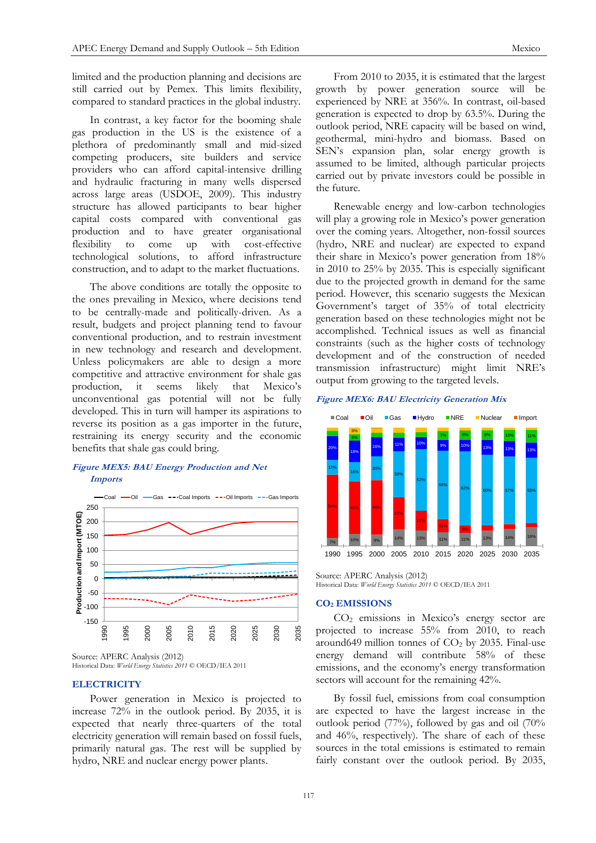limited and the production planning and decisions are still carried out by Pemex. This limits flexibility, compared to standard practices in the global industry.

In contrast, a key factor for the booming shale gas production in the US is the existence of a plethora of predominantly small and mid-sized competing producers, site builders and service providers who can afford capital-intensive drilling and hydraulic fracturing in many wells dispersed across large areas (USDOE, 2009). This industry structure has allowed participants to bear higher capital costs compared with conventional gas production and to have greater organisational flexibility to come up with cost-effective technological solutions, to afford infrastructure construction, and to adapt to the market fluctuations.

The above conditions are totally the opposite to the ones prevailing in Mexico, where decisions tend to be centrally-made and politically-driven. As a result, budgets and project planning tend to favour conventional production, and to restrain investment in new technology and research and development. Unless policymakers are able to design a more competitive and attractive environment for shale gas production, it seems likely that Mexico's unconventional gas potential will not be fully developed. This in turn will hamper its aspirations to reverse its position as a gas importer in the future, restraining its energy security and the economic benefits that shale gas could bring.

## **Figure MEX5: BAU Energy Production and Net Imports**



Source: APERC Analysis (2012) Historical Data: *World Energy Statistics 2011* © OECD/IEA 2011

## **ELECTRICITY**

Power generation in Mexico is projected to increase 72% in the outlook period. By 2035, it is expected that nearly three-quarters of the total electricity generation will remain based on fossil fuels, primarily natural gas. The rest will be supplied by hydro, NRE and nuclear energy power plants.

From 2010 to 2035, it is estimated that the largest growth by power generation source will be experienced by NRE at 356%. In contrast, oil-based generation is expected to drop by 63.5%. During the outlook period, NRE capacity will be based on wind, geothermal, mini-hydro and biomass. Based on SEN's expansion plan, solar energy growth is assumed to be limited, although particular projects carried out by private investors could be possible in the future.

Renewable energy and low-carbon technologies will play a growing role in Mexico's power generation over the coming years. Altogether, non-fossil sources (hydro, NRE and nuclear) are expected to expand their share in Mexico's power generation from 18% in 2010 to 25% by 2035. This is especially significant due to the projected growth in demand for the same period. However, this scenario suggests the Mexican Government's target of 35% of total electricity generation based on these technologies might not be accomplished. Technical issues as well as financial constraints (such as the higher costs of technology development and of the construction of needed transmission infrastructure) might limit NRE's output from growing to the targeted levels.

## **Figure MEX6: BAU Electricity Generation Mix**



Source: APERC Analysis (2012) Historical Data: *World Energy Statistics 2011* © OECD/IEA 2011

#### **CO<sup>2</sup> EMISSIONS**

CO<sup>2</sup> emissions in Mexico's energy sector are projected to increase 55% from 2010, to reach around649 million tonnes of  $CO<sub>2</sub>$  by 2035. Final-use energy demand will contribute 58% of these emissions, and the economy's energy transformation sectors will account for the remaining 42%.

By fossil fuel, emissions from coal consumption are expected to have the largest increase in the outlook period (77%), followed by gas and oil (70% and 46%, respectively). The share of each of these sources in the total emissions is estimated to remain fairly constant over the outlook period. By 2035,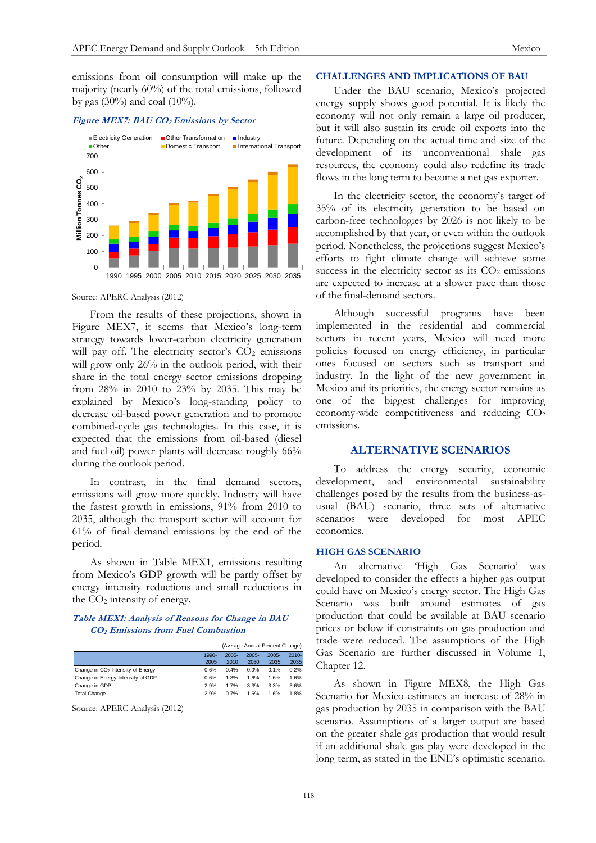emissions from oil consumption will make up the majority (nearly 60%) of the total emissions, followed by gas (30%) and coal (10%).

#### **Figure MEX7: BAU CO2 Emissions by Sector**



Source: APERC Analysis (2012)

From the results of these projections, shown in Figure MEX7, it seems that Mexico's long-term strategy towards lower-carbon electricity generation will pay off. The electricity sector's  $CO<sub>2</sub>$  emissions will grow only 26% in the outlook period, with their share in the total energy sector emissions dropping from 28% in 2010 to 23% by 2035. This may be explained by Mexico's long-standing policy to decrease oil-based power generation and to promote combined-cycle gas technologies. In this case, it is expected that the emissions from oil-based (diesel and fuel oil) power plants will decrease roughly 66% during the outlook period.

In contrast, in the final demand sectors, emissions will grow more quickly. Industry will have the fastest growth in emissions, 91% from 2010 to 2035, although the transport sector will account for 61% of final demand emissions by the end of the period.

As shown in Table MEX1, emissions resulting from Mexico's GDP growth will be partly offset by energy intensity reductions and small reductions in the  $CO<sub>2</sub>$  intensity of energy.

## **Table MEX1: Analysis of Reasons for Change in BAU CO2 Emissions from Fuel Combustion**

|                                               | (Average Annual Percent Change) |          |          |          |          |
|-----------------------------------------------|---------------------------------|----------|----------|----------|----------|
|                                               | 1990-                           | $2005 -$ | $2005 -$ | $2005 -$ | $2010 -$ |
|                                               | 2005                            | 2010     | 2030     | 2035     | 2035     |
| Change in CO <sub>2</sub> Intensity of Energy | 0.6%                            | 0.4%     | 0.0%     | $-0.1%$  | $-0.2%$  |
| Change in Energy Intensity of GDP             | $-0.6%$                         | $-1.3%$  | $-1.6%$  | $-1.6%$  | $-1.6%$  |
| Change in GDP                                 | 2.9%                            | 1.7%     | 3.3%     | 3.3%     | 3.6%     |
| <b>Total Change</b>                           | 2.9%                            | 0.7%     | 1.6%     | 1.6%     | 1.8%     |

Source: APERC Analysis (2012)

## **CHALLENGES AND IMPLICATIONS OF BAU**

Under the BAU scenario, Mexico's projected energy supply shows good potential. It is likely the economy will not only remain a large oil producer, but it will also sustain its crude oil exports into the future. Depending on the actual time and size of the development of its unconventional shale gas resources, the economy could also redefine its trade flows in the long term to become a net gas exporter.

In the electricity sector, the economy's target of 35% of its electricity generation to be based on carbon-free technologies by 2026 is not likely to be accomplished by that year, or even within the outlook period. Nonetheless, the projections suggest Mexico's efforts to fight climate change will achieve some success in the electricity sector as its  $CO<sub>2</sub>$  emissions are expected to increase at a slower pace than those of the final-demand sectors.

Although successful programs have been implemented in the residential and commercial sectors in recent years, Mexico will need more policies focused on energy efficiency, in particular ones focused on sectors such as transport and industry. In the light of the new government in Mexico and its priorities, the energy sector remains as one of the biggest challenges for improving economy-wide competitiveness and reducing CO<sub>2</sub> emissions.

## **ALTERNATIVE SCENARIOS**

To address the energy security, economic development, and environmental sustainability challenges posed by the results from the business-asusual (BAU) scenario, three sets of alternative scenarios were developed for most APEC economies.

## **HIGH GAS SCENARIO**

An alternative 'High Gas Scenario' was developed to consider the effects a higher gas output could have on Mexico's energy sector. The High Gas Scenario was built around estimates of gas production that could be available at BAU scenario prices or below if constraints on gas production and trade were reduced. The assumptions of the High Gas Scenario are further discussed in Volume 1, Chapter 12.

As shown in Figure MEX8, the High Gas Scenario for Mexico estimates an increase of 28% in gas production by 2035 in comparison with the BAU scenario. Assumptions of a larger output are based on the greater shale gas production that would result if an additional shale gas play were developed in the long term, as stated in the ENE's optimistic scenario.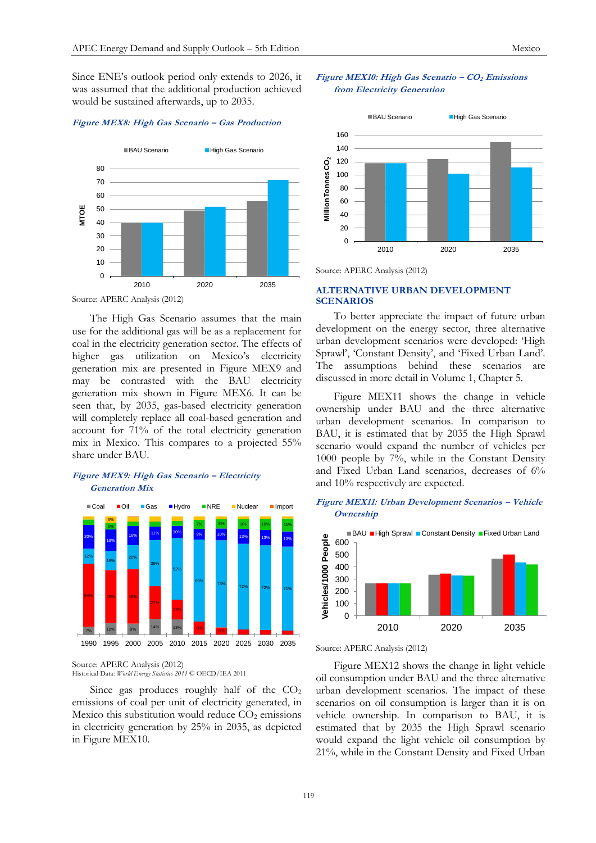Since ENE's outlook period only extends to 2026, it was assumed that the additional production achieved would be sustained afterwards, up to 2035.

#### **Figure MEX8: High Gas Scenario – Gas Production**



Source: APERC Analysis (2012)

The High Gas Scenario assumes that the main use for the additional gas will be as a replacement for coal in the electricity generation sector. The effects of higher gas utilization on Mexico's electricity generation mix are presented in Figure MEX9 and may be contrasted with the BAU electricity generation mix shown in Figure MEX6. It can be seen that, by 2035, gas-based electricity generation will completely replace all coal-based generation and account for 71% of the total electricity generation mix in Mexico. This compares to a projected 55% share under BAU.

## **Figure MEX9: High Gas Scenario – Electricity Generation Mix**



Source: APERC Analysis (2012) Historical Data: *World Energy Statistics 2011* © OECD/IEA 2011

Since gas produces roughly half of the  $CO<sub>2</sub>$ emissions of coal per unit of electricity generated, in Mexico this substitution would reduce  $CO<sub>2</sub>$  emissions in electricity generation by 25% in 2035, as depicted in Figure MEX10.

## **Figure MEX10: High Gas Scenario – CO<sup>2</sup> Emissions from Electricity Generation**



Source: APERC Analysis (2012)

# **ALTERNATIVE URBAN DEVELOPMENT SCENARIOS**

To better appreciate the impact of future urban development on the energy sector, three alternative urban development scenarios were developed: 'High Sprawl', 'Constant Density', and 'Fixed Urban Land'. The assumptions behind these scenarios are discussed in more detail in Volume 1, Chapter 5.

Figure MEX11 shows the change in vehicle ownership under BAU and the three alternative urban development scenarios. In comparison to BAU, it is estimated that by 2035 the High Sprawl scenario would expand the number of vehicles per 1000 people by 7%, while in the Constant Density and Fixed Urban Land scenarios, decreases of 6% and 10% respectively are expected.

## **Figure MEX11: Urban Development Scenarios – Vehicle Ownership**



Source: APERC Analysis (2012)

Figure MEX12 shows the change in light vehicle oil consumption under BAU and the three alternative urban development scenarios. The impact of these scenarios on oil consumption is larger than it is on vehicle ownership. In comparison to BAU, it is estimated that by 2035 the High Sprawl scenario would expand the light vehicle oil consumption by 21%, while in the Constant Density and Fixed Urban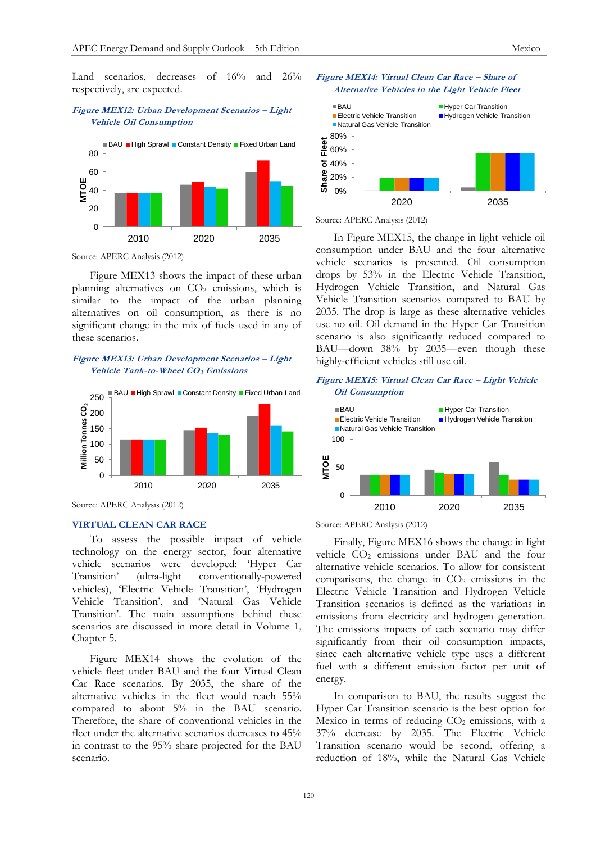## **Figure MEX12: Urban Development Scenarios – Light Vehicle Oil Consumption**



Source: APERC Analysis (2012)

Figure MEX13 shows the impact of these urban planning alternatives on  $CO<sub>2</sub>$  emissions, which is similar to the impact of the urban planning alternatives on oil consumption, as there is no significant change in the mix of fuels used in any of these scenarios.

## **Figure MEX13: Urban Development Scenarios – Light Vehicle Tank-to-Wheel CO2 Emissions**



Source: APERC Analysis (2012)

## **VIRTUAL CLEAN CAR RACE**

To assess the possible impact of vehicle technology on the energy sector, four alternative vehicle scenarios were developed: 'Hyper Car Transition' (ultra-light conventionally-powered vehicles), 'Electric Vehicle Transition', 'Hydrogen Vehicle Transition', and 'Natural Gas Vehicle Transition'. The main assumptions behind these scenarios are discussed in more detail in Volume 1, Chapter 5.

Figure MEX14 shows the evolution of the vehicle fleet under BAU and the four Virtual Clean Car Race scenarios. By 2035, the share of the alternative vehicles in the fleet would reach 55% compared to about 5% in the BAU scenario. Therefore, the share of conventional vehicles in the fleet under the alternative scenarios decreases to 45% in contrast to the 95% share projected for the BAU scenario.





Source: APERC Analysis (2012)

In Figure MEX15, the change in light vehicle oil consumption under BAU and the four alternative vehicle scenarios is presented. Oil consumption drops by 53% in the Electric Vehicle Transition, Hydrogen Vehicle Transition, and Natural Gas Vehicle Transition scenarios compared to BAU by 2035. The drop is large as these alternative vehicles use no oil. Oil demand in the Hyper Car Transition scenario is also significantly reduced compared to BAU—down 38% by 2035—even though these highly-efficient vehicles still use oil.

## **Figure MEX15: Virtual Clean Car Race – Light Vehicle Oil Consumption**



Source: APERC Analysis (2012)

Finally, Figure MEX16 shows the change in light vehicle  $CO<sub>2</sub>$  emissions under BAU and the four alternative vehicle scenarios. To allow for consistent comparisons, the change in  $CO<sub>2</sub>$  emissions in the Electric Vehicle Transition and Hydrogen Vehicle Transition scenarios is defined as the variations in emissions from electricity and hydrogen generation. The emissions impacts of each scenario may differ significantly from their oil consumption impacts, since each alternative vehicle type uses a different fuel with a different emission factor per unit of energy.

In comparison to BAU, the results suggest the Hyper Car Transition scenario is the best option for Mexico in terms of reducing  $CO<sub>2</sub>$  emissions, with a 37% decrease by 2035. The Electric Vehicle Transition scenario would be second, offering a reduction of 18%, while the Natural Gas Vehicle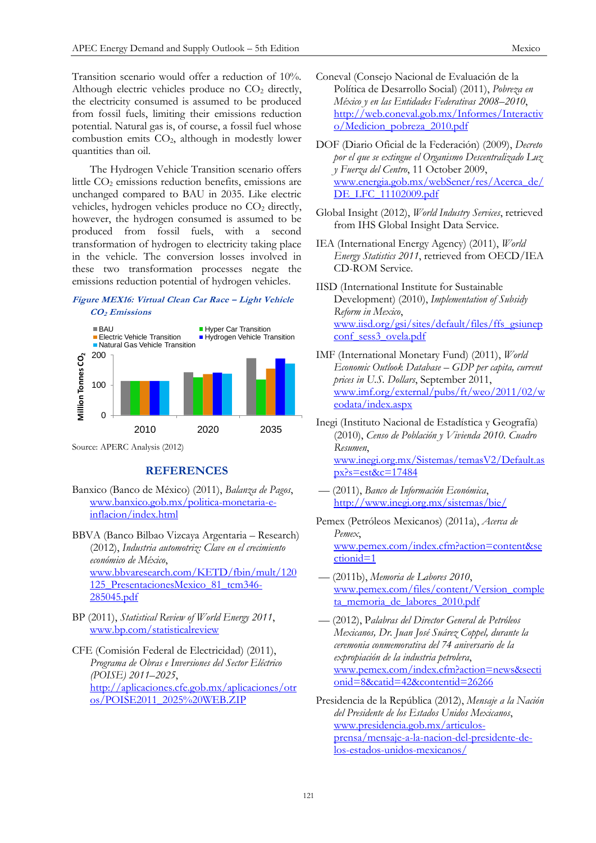Transition scenario would offer a reduction of 10%. Although electric vehicles produce no  $CO<sub>2</sub>$  directly, the electricity consumed is assumed to be produced from fossil fuels, limiting their emissions reduction potential. Natural gas is, of course, a fossil fuel whose combustion emits CO2, although in modestly lower quantities than oil.

The Hydrogen Vehicle Transition scenario offers little CO<sub>2</sub> emissions reduction benefits, emissions are unchanged compared to BAU in 2035. Like electric vehicles, hydrogen vehicles produce no  $CO<sub>2</sub>$  directly, however, the hydrogen consumed is assumed to be produced from fossil fuels, with a second transformation of hydrogen to electricity taking place in the vehicle. The conversion losses involved in these two transformation processes negate the emissions reduction potential of hydrogen vehicles.

## **Figure MEX16: Virtual Clean Car Race – Light Vehicle CO2 Emissions**



Source: APERC Analysis (2012)

# **REFERENCES**

- Banxico (Banco de México) (2011), *Balanza de Pagos*, [www.banxico.gob.mx/politica-monetaria-e](http://www.banxico.gob.mx/politica-monetaria-e-inflacion/index.html)[inflacion/index.html](http://www.banxico.gob.mx/politica-monetaria-e-inflacion/index.html)
- BBVA (Banco Bilbao Vizcaya Argentaria Research) (2012), *Industria automotriz: Clave en el crecimiento económico de México*, [www.bbvaresearch.com/KETD/fbin/mult/120](http://www.bbvaresearch.com/KETD/ketd/Descargas?pais=MEXC&canal=web&tipocontenido=PRES&idioma=ESP&pdf=/fbin/mult/120125_PresentacionesMexico_81_tcm346-285045.pdf&ididoc=es) [125\\_PresentacionesMexico\\_81\\_tcm346-](http://www.bbvaresearch.com/KETD/ketd/Descargas?pais=MEXC&canal=web&tipocontenido=PRES&idioma=ESP&pdf=/fbin/mult/120125_PresentacionesMexico_81_tcm346-285045.pdf&ididoc=es) [285045.pdf](http://www.bbvaresearch.com/KETD/ketd/Descargas?pais=MEXC&canal=web&tipocontenido=PRES&idioma=ESP&pdf=/fbin/mult/120125_PresentacionesMexico_81_tcm346-285045.pdf&ididoc=es)
- BP (2011), *Statistical Review of World Energy 2011*, [www.bp.com/statisticalreview](http://www.bp.com/statisticalreview)
- CFE (Comisión Federal de Electricidad) (2011), *Programa de Obras e Inversiones del Sector Eléctrico (POISE) 2011–2025*, [http://aplicaciones.cfe.gob.mx/aplicaciones/otr](http://aplicaciones.cfe.gob.mx/aplicaciones/otros/POISE2011_2025%20WEB.ZIP) [os/POISE2011\\_2025%20WEB.ZIP](http://aplicaciones.cfe.gob.mx/aplicaciones/otros/POISE2011_2025%20WEB.ZIP)
- Coneval (Consejo Nacional de Evaluación de la Política de Desarrollo Social) (2011), *Pobreza en México y en las Entidades Federativas 2008–2010*, [http://web.coneval.gob.mx/Informes/Interactiv](http://web.coneval.gob.mx/Informes/Interactivo/Medicion_pobreza_2010.pdf) [o/Medicion\\_pobreza\\_2010.pdf](http://web.coneval.gob.mx/Informes/Interactivo/Medicion_pobreza_2010.pdf)
- DOF (Diario Oficial de la Federación) (2009), *Decreto por el que se extingue el Organismo Descentralizado Luz y Fuerza del Centro*, 11 October 2009, [www.energia.gob.mx/webSener/res/Acerca\\_de/](http://www.energia.gob.mx/webSener/res/Acerca_de/DE_LFC_11102009.pdf) [DE\\_LFC\\_11102009.pdf](http://www.energia.gob.mx/webSener/res/Acerca_de/DE_LFC_11102009.pdf)
- Global Insight (2012), *World Industry Services*, retrieved from IHS Global Insight Data Service.
- IEA (International Energy Agency) (2011), *World Energy Statistics 2011*, retrieved from OECD/IEA CD-ROM Service.
- IISD (International Institute for Sustainable Development) (2010), *Implementation of Subsidy Reform in Mexico*, [www.iisd.org/gsi/sites/default/files/ffs\\_gsiunep](http://www.iisd.org/gsi/sites/default/files/ffs_gsiunepconf_sess3_ovela.pdf) [conf\\_sess3\\_ovela.pdf](http://www.iisd.org/gsi/sites/default/files/ffs_gsiunepconf_sess3_ovela.pdf)
- IMF (International Monetary Fund) (2011), *World Economic Outlook Database – GDP per capita, current prices in U.S. Dollars*, September 2011, [www.imf.org/external/pubs/ft/weo/2011/02/w](http://www.imf.org/external/pubs/ft/weo/2011/02/weodata/index.aspx) [eodata/index.aspx](http://www.imf.org/external/pubs/ft/weo/2011/02/weodata/index.aspx)
- Inegi (Instituto Nacional de Estadística y Geografía) (2010), *Censo de Población y Vivienda 2010. Cuadro Resumen*, [www.inegi.org.mx/Sistemas/temasV2/Default.as](http://www.inegi.org.mx/Sistemas/temasV2/Default.aspx?s=est&c=17484) [px?s=est&c=17484](http://www.inegi.org.mx/Sistemas/temasV2/Default.aspx?s=est&c=17484)
- –– (2011), *Banco de Información Económica*, <http://www.inegi.org.mx/sistemas/bie/>
- Pemex (Petróleos Mexicanos) (2011a), *Acerca de Pemex*, [www.pemex.com/index.cfm?action=content&se](http://www.pemex.com/index.cfm?action=content§ionid=1) [ctionid=1](http://www.pemex.com/index.cfm?action=content§ionid=1)
- –– (2011b), *Memoria de Labores 2010*, [www.pemex.com/files/content/Version\\_comple](http://www.pemex.com/files/content/Version_completa_memoria_de_labores_2010.pdf) ta memoria de labores 2010.pdf
- –– (2012), P*alabras del Director General de Petróleos Mexicanos, Dr. Juan José Suárez Coppel, durante la ceremonia conmemorativa del 74 aniversario de la expropiación de la industria petrolera*, [www.pemex.com/index.cfm?action=news&secti](http://www.pemex.com/index.cfm?action=news§ionid=8&catid=42&contentid=26266) [onid=8&catid=42&contentid=26266](http://www.pemex.com/index.cfm?action=news§ionid=8&catid=42&contentid=26266)
- Presidencia de la República (2012), *Mensaje a la Nación del Presidente de los Estados Unidos Mexicanos*, [www.presidencia.gob.mx/articulos](http://www.presidencia.gob.mx/articulos-prensa/mensaje-a-la-nacion-del-presidente-de-los-estados-unidos-mexicanos/)[prensa/mensaje-a-la-nacion-del-presidente-de](http://www.presidencia.gob.mx/articulos-prensa/mensaje-a-la-nacion-del-presidente-de-los-estados-unidos-mexicanos/)[los-estados-unidos-mexicanos/](http://www.presidencia.gob.mx/articulos-prensa/mensaje-a-la-nacion-del-presidente-de-los-estados-unidos-mexicanos/)